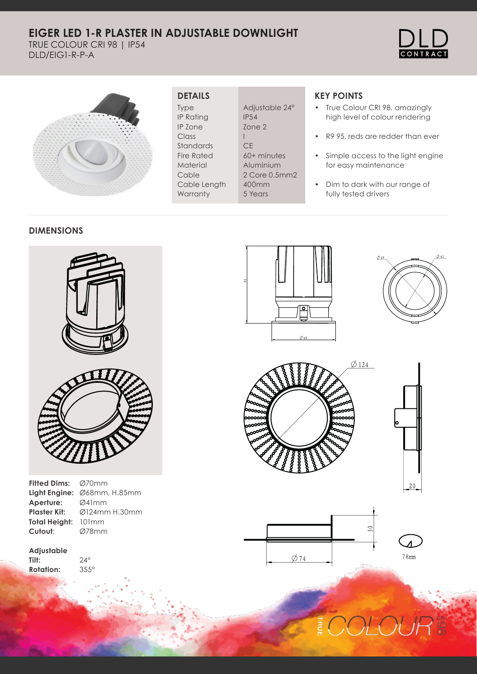### **EIGER LED 1-R PLASTER IN ADJUSTABLE DOWNLIGHT**

TRUE COLOUR CRI 98 | IP54 DLD/EIG1-R-P-A





#### **DETAILS**

Type IP Rating IP Zone Class Standards Fire Rated Material Cable Cable Length **Warranty** 

Adjustable 24° IP54 Zone 2 I **CE** 60+ minutes Aluminium 2 Core 0.5mm2 400mm 5 Years

### **KEY POINTS**

- True Colour CRI 98, amazingly high level of colour rendering
- R9 95, reds are redder than ever
- Simple access to the light engine for easy maintenance
- Dim to dark with our range of fully tested drivers

#### **DIMENSIONS**



| Fitted Dims: Ø70mm         |                                               |
|----------------------------|-----------------------------------------------|
|                            | <b>Light Engine:</b> $\emptyset$ 68mm, H.85mm |
| Aperture:                  | Ø41mm                                         |
| Plaster Kit:               | $\emptyset$ 124mm H.30mm                      |
| <b>Total Heiaht:</b> 101mm |                                               |
| Cutout:                    | Ø78mm                                         |
|                            |                                               |

24° 355°

**Adjustable Tilt: Rotation:**

⊡ ø.











# DLOUI 콛